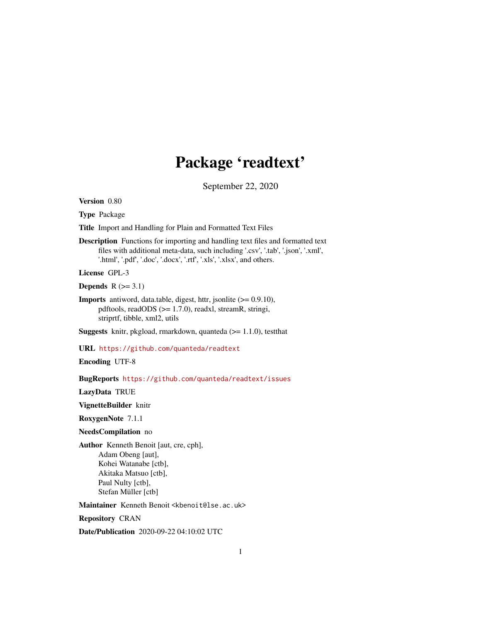## Package 'readtext'

September 22, 2020

<span id="page-0-0"></span>Version 0.80

Type Package

Title Import and Handling for Plain and Formatted Text Files

Description Functions for importing and handling text files and formatted text files with additional meta-data, such including '.csv', '.tab', '.json', '.xml', '.html', '.pdf', '.doc', '.docx', '.rtf', '.xls', '.xlsx', and others.

License GPL-3

Depends  $R$  ( $>=$  3.1)

**Imports** antiword, data.table, digest, httr, jsonlite  $(>= 0.9.10)$ , pdftools, readODS (>= 1.7.0), readxl, streamR, stringi, striprtf, tibble, xml2, utils

**Suggests** knitr, pkgload, rmarkdown, quanteda  $(>= 1.1.0)$ , testthat

URL <https://github.com/quanteda/readtext>

Encoding UTF-8

BugReports <https://github.com/quanteda/readtext/issues>

LazyData TRUE

VignetteBuilder knitr

RoxygenNote 7.1.1

NeedsCompilation no

Author Kenneth Benoit [aut, cre, cph], Adam Obeng [aut], Kohei Watanabe [ctb], Akitaka Matsuo [ctb], Paul Nulty [ctb], Stefan Müller [ctb]

Maintainer Kenneth Benoit <kbenoit@lse.ac.uk>

Repository CRAN

Date/Publication 2020-09-22 04:10:02 UTC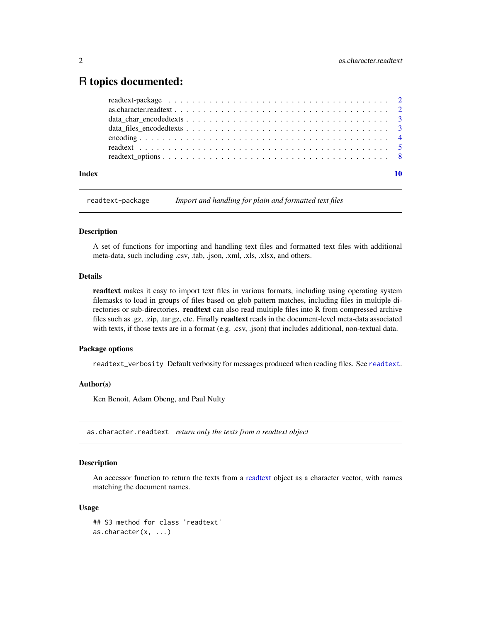### <span id="page-1-0"></span>R topics documented:

| Index |  |  |  |  |  |  |  |  |  |  |  |  |  |  |  |  |
|-------|--|--|--|--|--|--|--|--|--|--|--|--|--|--|--|--|
|       |  |  |  |  |  |  |  |  |  |  |  |  |  |  |  |  |
|       |  |  |  |  |  |  |  |  |  |  |  |  |  |  |  |  |
|       |  |  |  |  |  |  |  |  |  |  |  |  |  |  |  |  |
|       |  |  |  |  |  |  |  |  |  |  |  |  |  |  |  |  |
|       |  |  |  |  |  |  |  |  |  |  |  |  |  |  |  |  |
|       |  |  |  |  |  |  |  |  |  |  |  |  |  |  |  |  |
|       |  |  |  |  |  |  |  |  |  |  |  |  |  |  |  |  |

readtext-package *Import and handling for plain and formatted text files*

#### Description

A set of functions for importing and handling text files and formatted text files with additional meta-data, such including .csv, .tab, .json, .xml, .xls, .xlsx, and others.

#### Details

readtext makes it easy to import text files in various formats, including using operating system filemasks to load in groups of files based on glob pattern matches, including files in multiple directories or sub-directories. readtext can also read multiple files into R from compressed archive files such as .gz, .zip, .tar.gz, etc. Finally readtext reads in the document-level meta-data associated with texts, if those texts are in a format (e.g. .csv, .json) that includes additional, non-textual data.

#### Package options

readtext\_verbosity Default verbosity for messages produced when reading files. See [readtext](#page-4-1).

#### Author(s)

Ken Benoit, Adam Obeng, and Paul Nulty

as.character.readtext *return only the texts from a readtext object*

#### Description

An accessor function to return the texts from a [readtext](#page-4-1) object as a character vector, with names matching the document names.

#### Usage

```
## S3 method for class 'readtext'
as.character(x, ...)
```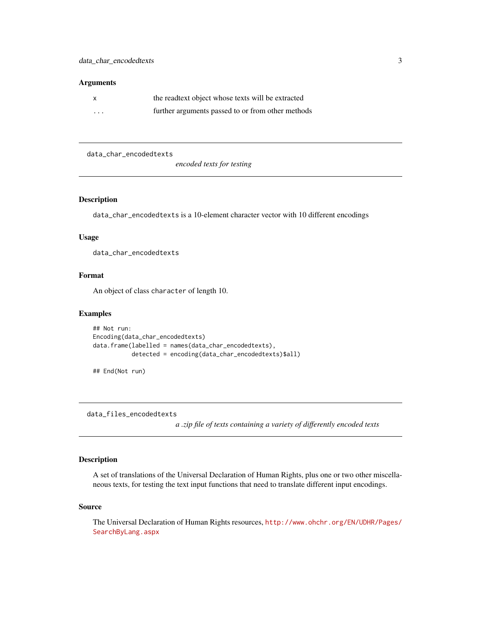#### <span id="page-2-0"></span>**Arguments**

|          | the readtext object whose texts will be extracted |
|----------|---------------------------------------------------|
| $\cdots$ | further arguments passed to or from other methods |

data\_char\_encodedtexts

*encoded texts for testing*

#### Description

data\_char\_encodedtexts is a 10-element character vector with 10 different encodings

#### Usage

data\_char\_encodedtexts

#### Format

An object of class character of length 10.

#### Examples

```
## Not run:
Encoding(data_char_encodedtexts)
data.frame(labelled = names(data_char_encodedtexts),
           detected = encoding(data_char_encodedtexts)$all)
```
## End(Not run)

data\_files\_encodedtexts

*a .zip file of texts containing a variety of differently encoded texts*

#### Description

A set of translations of the Universal Declaration of Human Rights, plus one or two other miscellaneous texts, for testing the text input functions that need to translate different input encodings.

#### Source

The Universal Declaration of Human Rights resources, [http://www.ohchr.org/EN/UDHR/Pages/](http://www.ohchr.org/EN/UDHR/Pages/SearchByLang.aspx) [SearchByLang.aspx](http://www.ohchr.org/EN/UDHR/Pages/SearchByLang.aspx)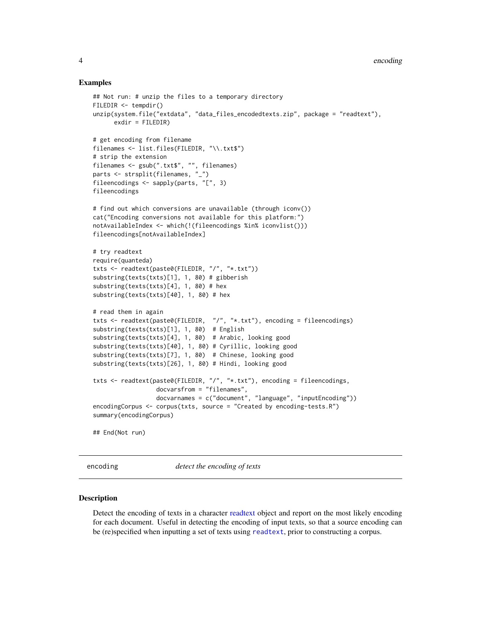#### Examples

```
## Not run: # unzip the files to a temporary directory
FILEDIR <- tempdir()
unzip(system.file("extdata", "data_files_encodedtexts.zip", package = "readtext"),
      exdir = FILEDIR)
# get encoding from filename
filenames <- list.files(FILEDIR, "\\.txt$")
# strip the extension
filenames <- gsub(".txt$", "", filenames)
parts <- strsplit(filenames, "_")
fileencodings <- sapply(parts, "[", 3)
fileencodings
# find out which conversions are unavailable (through iconv())
cat("Encoding conversions not available for this platform:")
notAvailableIndex <- which(!(fileencodings %in% iconvlist()))
fileencodings[notAvailableIndex]
# try readtext
require(quanteda)
txts <- readtext(paste0(FILEDIR, "/", "*.txt"))
substring(texts(txts)[1], 1, 80) # gibberish
substring(texts(txts)[4], 1, 80) # hex
substring(texts(txts)[40], 1, 80) # hex
# read them in again
txts <- readtext(paste0(FILEDIR, "/", "*.txt"), encoding = fileencodings)
substring(texts(txts)[1], 1, 80) # English
substring(texts(txts)[4], 1, 80) # Arabic, looking good
substring(texts(txts)[40], 1, 80) # Cyrillic, looking good
substring(texts(txts)[7], 1, 80) # Chinese, looking good
substring(texts(txts)[26], 1, 80) # Hindi, looking good
txts <- readtext(paste0(FILEDIR, "/", "*.txt"), encoding = fileencodings,
                  docvarsfrom = "filenames",
                  docvarnames = c("document", "language", "inputEncoding"))
encodingCorpus <- corpus(txts, source = "Created by encoding-tests.R")
summary(encodingCorpus)
## End(Not run)
```
encoding *detect the encoding of texts*

#### **Description**

Detect the encoding of texts in a character [readtext](#page-4-1) object and report on the most likely encoding for each document. Useful in detecting the encoding of input texts, so that a source encoding can be (re)specified when inputting a set of texts using [readtext](#page-4-1), prior to constructing a corpus.

<span id="page-3-0"></span>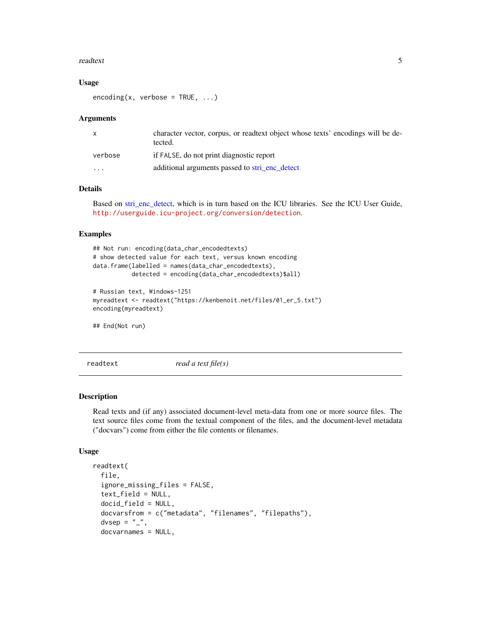#### <span id="page-4-0"></span>readtext 5

#### Usage

 $encoding(x, verbose = TRUE, ...)$ 

#### **Arguments**

| $\mathsf{x}$ | character vector, corpus, or readtext object whose texts' encodings will be de-<br>tected. |
|--------------|--------------------------------------------------------------------------------------------|
| verbose      | if FALSE, do not print diagnostic report                                                   |
| $\cdot$      | additional arguments passed to stri_enc_detect                                             |

#### Details

Based on [stri\\_enc\\_detect,](#page-0-0) which is in turn based on the ICU libraries. See the ICU User Guide, <http://userguide.icu-project.org/conversion/detection>.

#### Examples

```
## Not run: encoding(data_char_encodedtexts)
# show detected value for each text, versus known encoding
data.frame(labelled = names(data_char_encodedtexts),
           detected = encoding(data_char_encodedtexts)$all)
# Russian text, Windows-1251
myreadtext <- readtext("https://kenbenoit.net/files/01_er_5.txt")
encoding(myreadtext)
```
## End(Not run)

<span id="page-4-1"></span>readtext *read a text file(s)*

#### Description

Read texts and (if any) associated document-level meta-data from one or more source files. The text source files come from the textual component of the files, and the document-level metadata ("docvars") come from either the file contents or filenames.

#### Usage

```
readtext(
  file,
  ignore_missing_files = FALSE,
  text_field = NULL,
  docid_field = NULL,
  docvarsfrom = c("metadata", "filenames", "filepaths"),
  dvsep = "''_",docvarnames = NULL,
```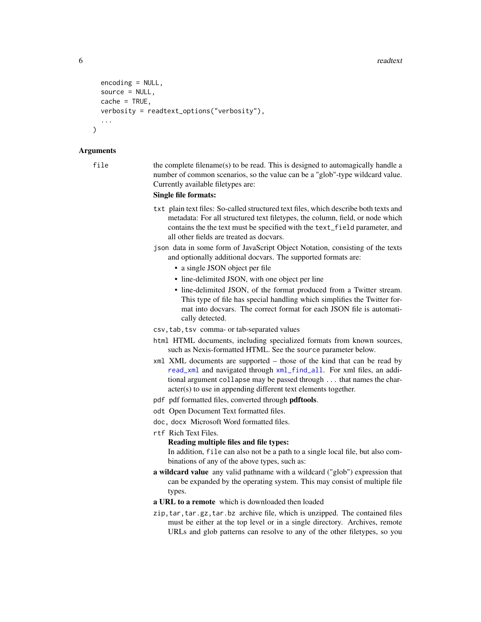```
encoding = NULL,
source = NULL,
cache = TRUE,
verbosity = readtext_options("verbosity"),
...
```
#### Arguments

)

file the complete filename(s) to be read. This is designed to automagically handle a number of common scenarios, so the value can be a "glob"-type wildcard value. Currently available filetypes are:

#### Single file formats:

- txt plain text files: So-called structured text files, which describe both texts and metadata: For all structured text filetypes, the column, field, or node which contains the the text must be specified with the text\_field parameter, and all other fields are treated as docvars.
- json data in some form of JavaScript Object Notation, consisting of the texts and optionally additional docvars. The supported formats are:
	-
	- a single JSON object per file
	- line-delimited JSON, with one object per line
	- line-delimited JSON, of the format produced from a Twitter stream. This type of file has special handling which simplifies the Twitter format into docvars. The correct format for each JSON file is automatically detected.

csv,tab,tsv comma- or tab-separated values

- html HTML documents, including specialized formats from known sources, such as Nexis-formatted HTML. See the source parameter below.
- xml XML documents are supported those of the kind that can be read by [read\\_xml](#page-0-0) and navigated through [xml\\_find\\_all](#page-0-0). For xml files, an additional argument collapse may be passed through ... that names the character(s) to use in appending different text elements together.
- pdf pdf formatted files, converted through **pdftools**.
- odt Open Document Text formatted files.
- doc, docx Microsoft Word formatted files.
- rtf Rich Text Files.

#### Reading multiple files and file types:

In addition, file can also not be a path to a single local file, but also combinations of any of the above types, such as:

- a wildcard value any valid pathname with a wildcard ("glob") expression that can be expanded by the operating system. This may consist of multiple file types.
- a URL to a remote which is downloaded then loaded
- zip,tar,tar.gz,tar.bz archive file, which is unzipped. The contained files must be either at the top level or in a single directory. Archives, remote URLs and glob patterns can resolve to any of the other filetypes, so you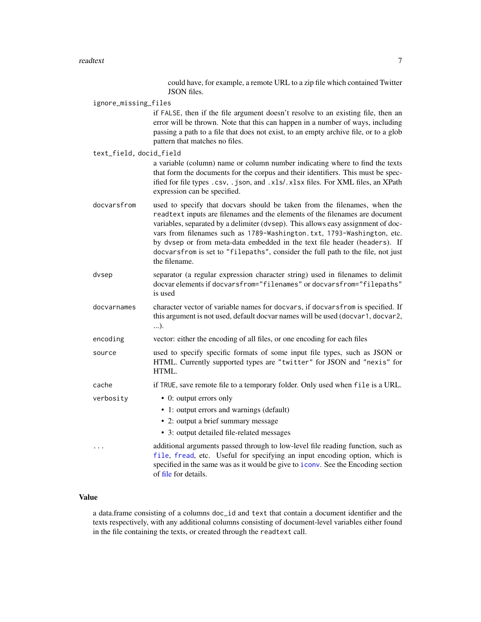could have, for example, a remote URL to a zip file which contained Twitter JSON files.

<span id="page-6-0"></span>

| ignore_missing_files |  |  |
|----------------------|--|--|
|                      |  |  |

if FALSE, then if the file argument doesn't resolve to an existing file, then an error will be thrown. Note that this can happen in a number of ways, including passing a path to a file that does not exist, to an empty archive file, or to a glob pattern that matches no files.

text\_field, docid\_field a variable (column) name or column number indicating where to find the texts that form the documents for the corpus and their identifiers. This must be specified for file types .csv, .json, and .xls/.xlsx files. For XML files, an XPath expression can be specified.

- docvarsfrom used to specify that docvars should be taken from the filenames, when the readtext inputs are filenames and the elements of the filenames are document variables, separated by a delimiter (dvsep). This allows easy assignment of docvars from filenames such as 1789-Washington.txt, 1793-Washington, etc. by dvsep or from meta-data embedded in the text file header (headers). If docvarsfrom is set to "filepaths", consider the full path to the file, not just the filename.
- dvsep separator (a regular expression character string) used in filenames to delimit docvar elements if docvarsfrom="filenames" or docvarsfrom="filepaths" is used
- docvarnames character vector of variable names for docvars, if docvarsfrom is specified. If this argument is not used, default docvar names will be used (docvar1, docvar2, ...).
- encoding vector: either the encoding of all files, or one encoding for each files
- source used to specify specific formats of some input file types, such as JSON or HTML. Currently supported types are "twitter" for JSON and "nexis" for HTML.
- cache if TRUE, save remote file to a temporary folder. Only used when file is a URL.
- verbosity 0: output errors only
	- 1: output errors and warnings (default)
	- 2: output a brief summary message
	- 3: output detailed file-related messages

... additional arguments passed through to low-level file reading function, such as [file](#page-0-0), [fread](#page-0-0), etc. Useful for specifying an input encoding option, which is specified in the same was as it would be give to [iconv](#page-0-0). See the Encoding section of [file](#page-0-0) for details.

#### Value

a data.frame consisting of a columns doc\_id and text that contain a document identifier and the texts respectively, with any additional columns consisting of document-level variables either found in the file containing the texts, or created through the readtext call.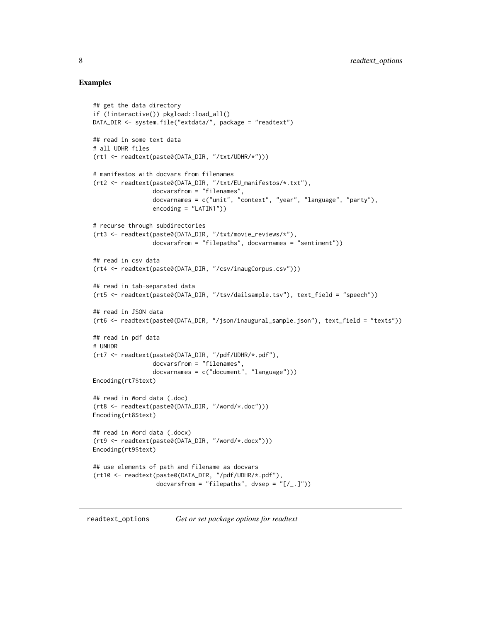#### Examples

```
## get the data directory
if (!interactive()) pkgload::load_all()
DATA_DIR <- system.file("extdata/", package = "readtext")
## read in some text data
# all UDHR files
(rt1 <- readtext(paste0(DATA_DIR, "/txt/UDHR/*")))
# manifestos with docvars from filenames
(rt2 <- readtext(paste0(DATA_DIR, "/txt/EU_manifestos/*.txt"),
                 docvarsfrom = "filenames",
                 docvarnames = c("unit", "context", "year", "language", "party"),
                 encoding = "LATIN1")# recurse through subdirectories
(rt3 <- readtext(paste0(DATA_DIR, "/txt/movie_reviews/*"),
                 docvarsfrom = "filepaths", docvarnames = "sentiment"))
## read in csv data
(rt4 <- readtext(paste0(DATA_DIR, "/csv/inaugCorpus.csv")))
## read in tab-separated data
(rt5 <- readtext(paste0(DATA_DIR, "/tsv/dailsample.tsv"), text_field = "speech"))
## read in JSON data
(rt6 <- readtext(paste0(DATA_DIR, "/json/inaugural_sample.json"), text_field = "texts"))
## read in pdf data
# UNHDR
(rt7 <- readtext(paste0(DATA_DIR, "/pdf/UDHR/*.pdf"),
                 docvarsfrom = "filenames",
                 docvarnames = c("document", "language")))
Encoding(rt7$text)
## read in Word data (.doc)
(rt8 <- readtext(paste0(DATA_DIR, "/word/*.doc")))
Encoding(rt8$text)
## read in Word data (.docx)
(rt9 <- readtext(paste0(DATA_DIR, "/word/*.docx")))
Encoding(rt9$text)
## use elements of path and filename as docvars
(rt10 <- readtext(paste0(DATA_DIR, "/pdf/UDHR/*.pdf"),
                  docvarsfrom = "filepaths", dvsep = "[/-.]"))
```
readtext\_options *Get or set package options for readtext*

<span id="page-7-0"></span>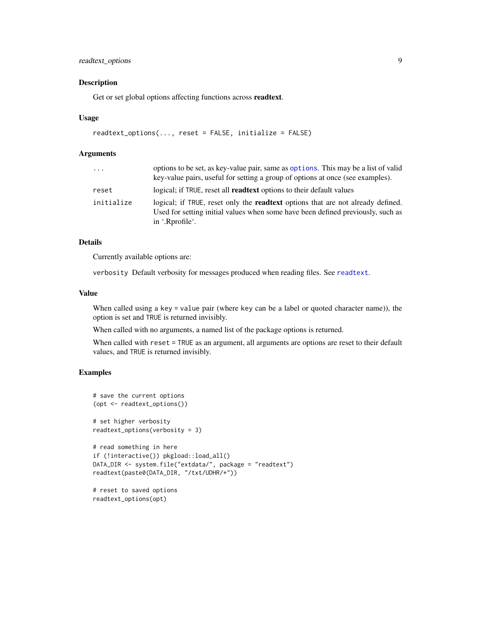#### <span id="page-8-0"></span>readtext\_options 9

#### Description

Get or set global options affecting functions across readtext.

#### Usage

```
readtext_options(..., reset = FALSE, initialize = FALSE)
```
#### Arguments

| .          | options to be set, as key-value pair, same as options. This may be a list of valid<br>key-value pairs, useful for setting a group of options at once (see examples).                         |
|------------|----------------------------------------------------------------------------------------------------------------------------------------------------------------------------------------------|
| reset      | logical; if TRUE, reset all <b>readtext</b> options to their default values                                                                                                                  |
| initialize | logical; if TRUE, reset only the <b>readtext</b> options that are not already defined.<br>Used for setting initial values when some have been defined previously, such as<br>in '.Rprofile'. |

#### Details

Currently available options are:

verbosity Default verbosity for messages produced when reading files. See [readtext](#page-4-1).

#### Value

When called using a key = value pair (where key can be a label or quoted character name)), the option is set and TRUE is returned invisibly.

When called with no arguments, a named list of the package options is returned.

When called with reset = TRUE as an argument, all arguments are options are reset to their default values, and TRUE is returned invisibly.

#### Examples

readtext\_options(opt)

```
# save the current options
(opt <- readtext_options())
# set higher verbosity
readtext_options(verbosity = 3)
# read something in here
if (!interactive()) pkgload::load_all()
DATA_DIR <- system.file("extdata/", package = "readtext")
readtext(paste0(DATA_DIR, "/txt/UDHR/*"))
# reset to saved options
```